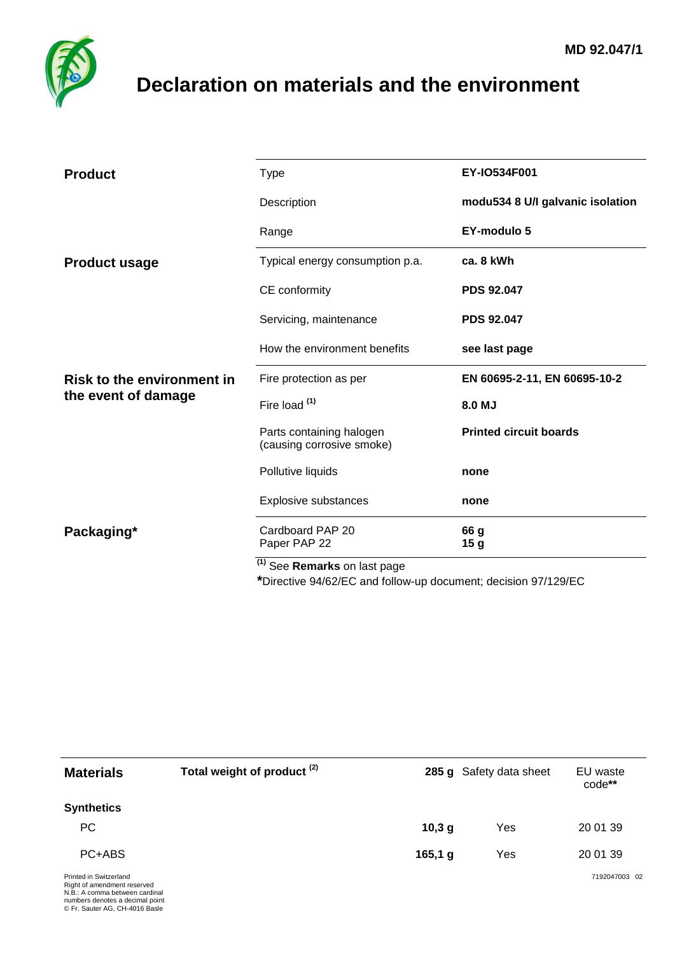

## <span id="page-0-0"></span>**Declaration on materials and the environment**

| <b>Product</b>                    | <b>Type</b>                                                               | EY-IO534F001                     |
|-----------------------------------|---------------------------------------------------------------------------|----------------------------------|
|                                   | Description                                                               | modu534 8 U/I galvanic isolation |
|                                   | Range                                                                     | <b>EY-modulo 5</b>               |
| <b>Product usage</b>              | Typical energy consumption p.a.                                           | ca. 8 kWh                        |
|                                   | CE conformity                                                             | <b>PDS 92.047</b>                |
|                                   | Servicing, maintenance                                                    | <b>PDS 92.047</b>                |
|                                   | How the environment benefits                                              | see last page                    |
| <b>Risk to the environment in</b> |                                                                           |                                  |
|                                   | Fire protection as per                                                    | EN 60695-2-11, EN 60695-10-2     |
| the event of damage               | Fire load <sup>(1)</sup>                                                  | 8.0 MJ                           |
|                                   | Parts containing halogen<br>(causing corrosive smoke)                     | <b>Printed circuit boards</b>    |
|                                   | Pollutive liquids                                                         | none                             |
|                                   | Explosive substances                                                      | none                             |
| Packaging*                        | Cardboard PAP 20<br>Paper PAP 22<br>$(1)$ See <b>Remarks</b> on last page | 66 g<br>15 <sub>g</sub>          |

aəı payt

**\***Directive 94/62/EC and follow-up document; decision 97/129/EC

| <b>Materials</b>                                                                                                                                             | Total weight of product <sup>(2)</sup> |           | 285 g Safety data sheet | EU waste<br>code** |
|--------------------------------------------------------------------------------------------------------------------------------------------------------------|----------------------------------------|-----------|-------------------------|--------------------|
| <b>Synthetics</b>                                                                                                                                            |                                        |           |                         |                    |
| PC                                                                                                                                                           |                                        | 10,3g     | Yes                     | 20 01 39           |
| PC+ABS                                                                                                                                                       |                                        | $165,1$ g | Yes                     | 20 01 39           |
| Printed in Switzerland<br>Right of amendment reserved<br>N.B.: A comma between cardinal<br>numbers denotes a decimal point<br>C Fr. Sauter AG, CH-4016 Basle |                                        |           |                         | 7192047003 02      |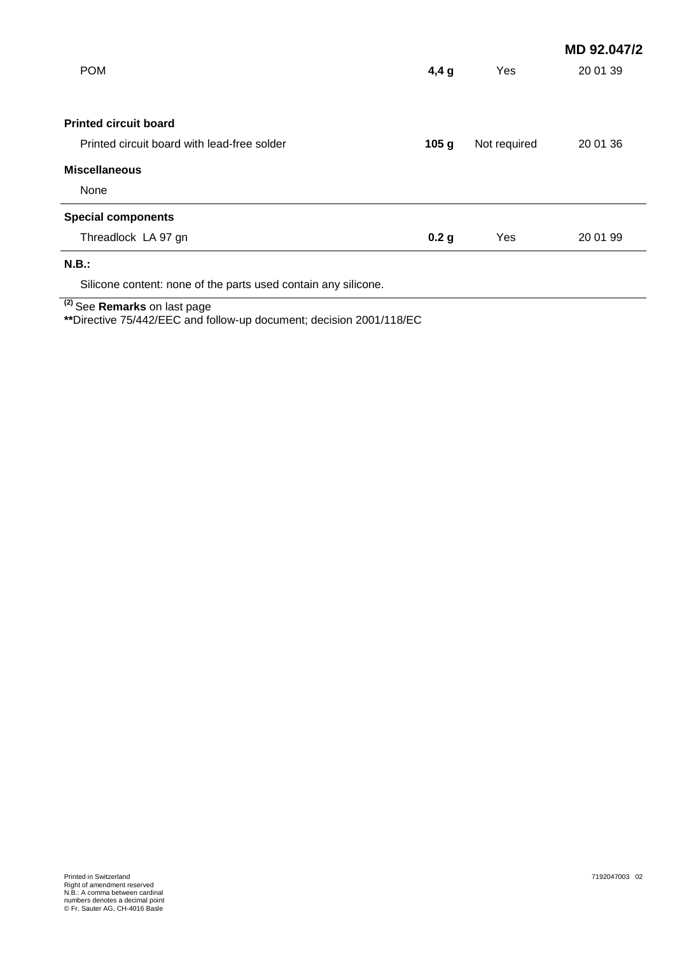|                                             |                  |              | MD 92.047/2 |
|---------------------------------------------|------------------|--------------|-------------|
| <b>POM</b>                                  | $4,4$ g          | Yes          | 20 01 39    |
|                                             |                  |              |             |
| <b>Printed circuit board</b>                |                  |              |             |
| Printed circuit board with lead-free solder | 105 <sub>g</sub> | Not required | 20 01 36    |
| <b>Miscellaneous</b>                        |                  |              |             |
| None                                        |                  |              |             |
| <b>Special components</b>                   |                  |              |             |
| Threadlock LA 97 gn                         | 0.2 <sub>g</sub> | Yes          | 20 01 99    |
| N.B.:                                       |                  |              |             |

Silicone content: none of the parts used contain any silicone.

**(2)** See **Remarks** on last page

**\*\***Directive 75/442/EEC and follow-up document; decision 2001/118/EC